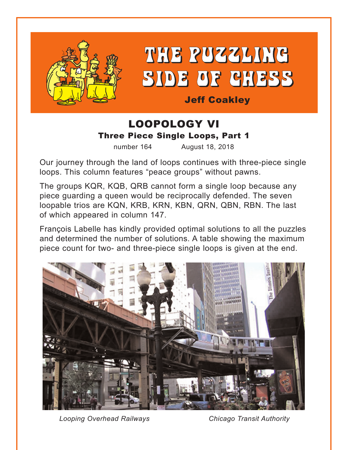

THE PUZZLING SIDE OF CHESS

Jeff Coakley

### LOOPOLOGY VI Three Piece Single Loops, Part 1

number 164 August 18, 2018

Our journey through the land of loops continues with three-piece single loops. This column features "peace groups" without pawns.

The groups KQR, KQB, QRB cannot form a single loop because any piece guarding a queen would be reciprocally defended. The seven loopable trios are KQN, KRB, KRN, KBN, QRN, QBN, RBN. The last of which appeared in column 147.

François Labelle has kindly provided optimal solutions to all the puzzles and determined the number of solutions. A table showing the maximum piece count for two- and three-piece single loops is given at the end.



*Looping Overhead Railways Chicago Transit Authority*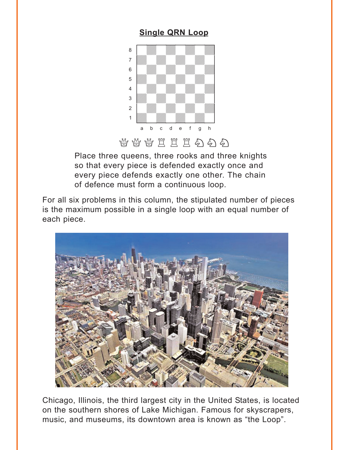### **[Single QRN Loop](#page-5-0)**

<span id="page-1-0"></span>

## 当学出生生物有名

Place three queens, three rooks and three knights so that every piece is defended exactly once and every piece defends exactly one other. The chain of defence must form a continuous loop.

For all six problems in this column, the stipulated number of pieces is the maximum possible in a single loop with an equal number of each piece.



Chicago, Illinois, the third largest city in the United States, is located on the southern shores of Lake Michigan. Famous for skyscrapers, music, and museums, its downtown area is known as "the Loop".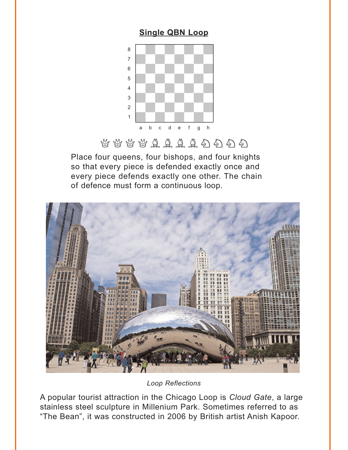### **[Single QBN Loop](#page-6-0)**

<span id="page-2-0"></span>

# $\mathcal{B}$  &  $\mathcal{B}$   $\mathcal{A}$   $\mathcal{A}$   $\mathcal{A}$   $\mathcal{A}$   $\mathcal{A}$   $\mathcal{A}$   $\mathcal{A}$   $\mathcal{A}$

Place four queens, four bishops, and four knights so that every piece is defended exactly once and every piece defends exactly one other. The chain of defence must form a continuous loop.



*Loop Reflections*

A popular tourist attraction in the Chicago Loop is *Cloud Gate*, a large stainless steel sculpture in Millenium Park. Sometimes referred to as "The Bean", it was constructed in 2006 by British artist Anish Kapoor.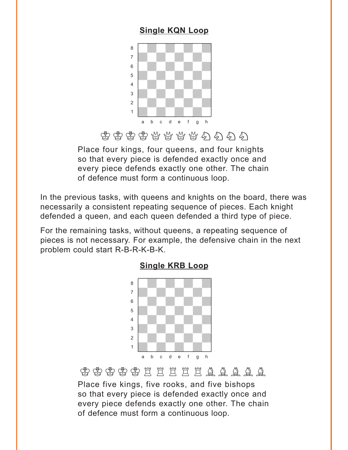### **[Single KQN Loop](#page-7-0)**

<span id="page-3-0"></span>

当当当当当年有名

Place four kings, four queens, and four knights so that every piece is defended exactly once and every piece defends exactly one other. The chain of defence must form a continuous loop.

In the previous tasks, with queens and knights on the board, there was necessarily a consistent repeating sequence of pieces. Each knight defended a queen, and each queen defended a third type of piece.

For the remaining tasks, without queens, a repeating sequence of pieces is not necessary. For example, the defensive chain in the next problem could start R-B-R-K-B-K.



#### **[Single KRB Loop](#page-8-0)**

 $\circledast$   $\circledast$   $\circledast$   $\circledast$   $\circledast$   $\circledast$   $\circledast$   $\circledast$   $\circledast$   $\circledast$ 

Place five kings, five rooks, and five bishops so that every piece is defended exactly once and every piece defends exactly one other. The chain of defence must form a continuous loop.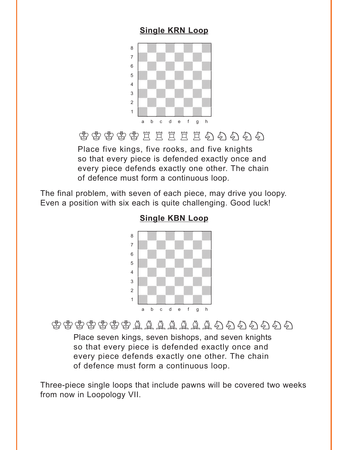### **[Single KRN Loop](#page-8-0)**

<span id="page-4-0"></span>

# 李李李李艺艺艺艺艺艺名名

Place five kings, five rooks, and five knights so that every piece is defended exactly once and every piece defends exactly one other. The chain of defence must form a continuous loop.

The final problem, with seven of each piece, may drive you loopy. Even a position with six each is quite challenging. Good luck!

#### where  $\frac{1}{2}$  is the set of  $\frac{1}{2}$ a **carattan a carattan a carattan a carattan** a carattan a carattan a carattan a carattan a carattan a carattan a<br>Tanàna amin'ny faritan'i Northern Alban ao amin'ny faritan'i Alban ao amin'ny faritan'i Antonin, ao amin'ny adwadwadwadwadwadwadwadwadwa 6 | *William William William William William William William William William William William*  $\overline{\mathcal{L}}$ <sup>4</sup> William William William William 3 *William William William William William William William William William William William William William William* 2 | *William William William William William William William William William William William* 1 *Údwarf Millian Millian Ni*llian a b c d e f g h

### **[Single KBN Loop](#page-9-0)**

# $\mathfrak{G}$  +  $\mathfrak{G}$  +  $\mathfrak{G}$  +  $\mathfrak{G}$  +  $\mathfrak{G}$  +  $\mathfrak{G}$  +  $\mathfrak{G}$  +  $\mathfrak{G}$  +  $\mathfrak{H}$  +  $\mathfrak{H}$  +  $\mathfrak{H}$  +  $\mathfrak{H}$  +  $\mathfrak{H}$  +  $\mathfrak{H}$  +  $\mathfrak{H}$  +  $\mathfrak{H}$  +  $\mathfrak{H}$  +  $\mathfrak{H}$

Place seven kings, seven bishops, and seven knights so that every piece is defended exactly once and every piece defends exactly one other. The chain of defence must form a continuous loop.

Three-piece single loops that include pawns will be covered two weeks from now in Loopology VII.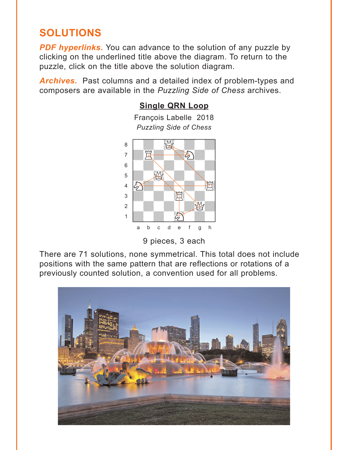## <span id="page-5-0"></span>**SOLUTIONS**

**PDF hyperlinks.** You can advance to the solution of any puzzle by clicking on the underlined title above the diagram. To return to the puzzle, click on the title above the solution diagram.

*Archives***.** Past columns and a detailed index of problem-types and composers are available in the *Puzzling Side of Chess* archives.

#### **[Single QRN Loop](#page-1-0)**

François Labelle 2018 *Puzzling Side of Chess*



<sup>9</sup> pieces, 3 each

There are 71 solutions, none symmetrical. This total does not include positions with the same pattern that are reflections or rotations of a previously counted solution, a convention used for all problems.

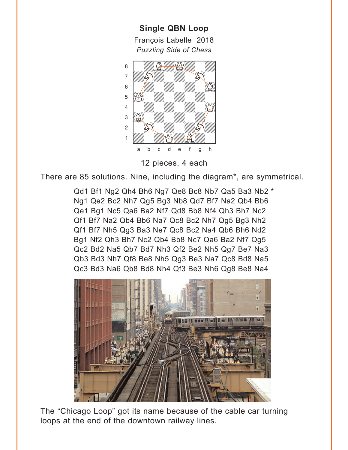<span id="page-6-0"></span>**[Single QBN Loop](#page-2-0)** François Labelle 2018 *Puzzling Side of Chess* w\_\_\_\_\_\_\_\_w



12 pieces, 4 each

There are 85 solutions. Nine, including the diagram\*, are symmetrical.

Qd1 Bf1 Ng2 Qh4 Bh6 Ng7 Qe8 Bc8 Nb7 Qa5 Ba3 Nb2 \* Ng1 Qe2 Bc2 Nh7 Qg5 Bg3 Nb8 Qd7 Bf7 Na2 Qb4 Bb6 Qe1 Bg1 Nc5 Qa6 Ba2 Nf7 Qd8 Bb8 Nf4 Qh3 Bh7 Nc2 Qf1 Bf7 Na2 Qb4 Bb6 Na7 Qc8 Bc2 Nh7 Qg5 Bg3 Nh2 Qf1 Bf7 Nh5 Qg3 Ba3 Ne7 Qc8 Bc2 Na4 Qb6 Bh6 Nd2 Bg1 Nf2 Qh3 Bh7 Nc2 Qb4 Bb8 Nc7 Qa6 Ba2 Nf7 Qg5 Qc2 Bd2 Na5 Qb7 Bd7 Nh3 Qf2 Be2 Nh5 Qg7 Be7 Na3 Qb3 Bd3 Nh7 Qf8 Be8 Nh5 Qg3 Be3 Na7 Qc8 Bd8 Na5 Qc3 Bd3 Na6 Qb8 Bd8 Nh4 Qf3 Be3 Nh6 Qg8 Be8 Na4



The "Chicago Loop" got its name because of the cable car turning loops at the end of the downtown railway lines.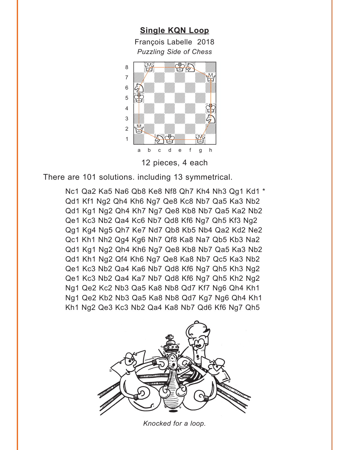<span id="page-7-0"></span>**[Single KQN Loop](#page-3-0)** François Labelle 2018 *Puzzling Side of Chess* w\_\_\_\_\_\_\_\_w  $\begin{picture}(60,60) \put(0,0){\line(1,0){15}} \put(1,0){\line(1,0){15}} \put(1,0){\line(1,0){15}} \put(1,0){\line(1,0){15}} \put(1,0){\line(1,0){15}} \put(1,0){\line(1,0){15}} \put(1,0){\line(1,0){15}} \put(1,0){\line(1,0){15}} \put(1,0){\line(1,0){15}} \put(1,0){\line(1,0){15}} \put(1,0){\line(1,0){15}} \put(1,0){\line(1,0){15}} \put(1,$ adwadd adward a bhaile ann an 1972. Tha ann an 1972 ann an 1972 an 1972 ann an 1972 ann an 1972. Tha ann an 19  $\frac{1}{2}$  ,  $\frac{1}{2}$  ,  $\frac{1}{2}$  ,  $\frac{1}{2}$  ,  $\frac{1}{2}$  ,  $\frac{1}{2}$  ,  $\frac{1}{2}$  ,  $\frac{1}{2}$  $\mathbf{E}$   $\mathbf{E}$   $\mathbf{E}$   $\mathbf{E}$   $\mathbf{E}$   $\mathbf{E}$   $\mathbf{E}$   $\mathbf{E}$   $\mathbf{E}$   $\mathbf{E}$   $\mathbf{E}$   $\mathbf{E}$   $\mathbf{E}$   $\mathbf{E}$   $\mathbf{E}$   $\mathbf{E}$   $\mathbf{E}$   $\mathbf{E}$   $\mathbf{E}$   $\mathbf{E}$   $\mathbf{E}$   $\mathbf{E}$   $\mathbf{E}$   $\mathbf{E}$   $\mathbf{$ <sup>4</sup> *William William Communication*  $\frac{1}{2}$ ÛQdwdwdwd]  $\frac{1}{\sqrt{2}}\left(\frac{1}{\sqrt{2}}\right)^{2}\left(\frac{1}{\sqrt{2}}\right)^{2}\left(\frac{1}{\sqrt{2}}\right)^{2}\left(\frac{1}{\sqrt{2}}\right)^{2}\left(\frac{1}{\sqrt{2}}\right)^{2}\left(\frac{1}{\sqrt{2}}\right)^{2}\left(\frac{1}{\sqrt{2}}\right)^{2}\left(\frac{1}{\sqrt{2}}\right)^{2}\left(\frac{1}{\sqrt{2}}\right)^{2}\left(\frac{1}{\sqrt{2}}\right)^{2}\left(\frac{1}{\sqrt{2}}\right)^{2}\left(\frac{1}{\sqrt{2}}\right)^{2}\left(\frac{1$ a b c d e f g h

12 pieces, 4 each

There are 101 solutions. including 13 symmetrical.

Nc1 Qa2 Ka5 Na6 Qb8 Ke8 Nf8 Qh7 Kh4 Nh3 Qg1 Kd1 \* Qd1 Kf1 Ng2 Qh4 Kh6 Ng7 Qe8 Kc8 Nb7 Qa5 Ka3 Nb2 Qd1 Kg1 Ng2 Qh4 Kh7 Ng7 Qe8 Kb8 Nb7 Qa5 Ka2 Nb2 Qe1 Kc3 Nb2 Qa4 Kc6 Nb7 Qd8 Kf6 Ng7 Qh5 Kf3 Ng2 Qg1 Kg4 Ng5 Qh7 Ke7 Nd7 Qb8 Kb5 Nb4 Qa2 Kd2 Ne2 Qc1 Kh1 Nh2 Qg4 Kg6 Nh7 Qf8 Ka8 Na7 Qb5 Kb3 Na2 Qd1 Kg1 Ng2 Qh4 Kh6 Ng7 Qe8 Kb8 Nb7 Qa5 Ka3 Nb2 Qd1 Kh1 Ng2 Qf4 Kh6 Ng7 Qe8 Ka8 Nb7 Qc5 Ka3 Nb2 Qe1 Kc3 Nb2 Qa4 Ka6 Nb7 Qd8 Kf6 Ng7 Qh5 Kh3 Ng2 Qe1 Kc3 Nb2 Qa4 Ka7 Nb7 Qd8 Kf6 Ng7 Qh5 Kh2 Ng2 Ng1 Qe2 Kc2 Nb3 Qa5 Ka8 Nb8 Qd7 Kf7 Ng6 Qh4 Kh1 Ng1 Qe2 Kb2 Nb3 Qa5 Ka8 Nb8 Qd7 Kg7 Ng6 Qh4 Kh1 Kh1 Ng2 Qe3 Kc3 Nb2 Qa4 Ka8 Nb7 Qd6 Kf6 Ng7 Qh5



*Knocked for a loop.*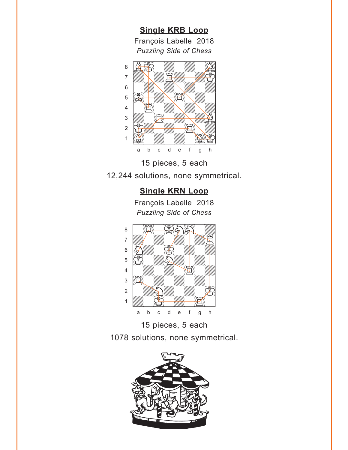<span id="page-8-0"></span>**[Single KRB Loop](#page-3-0)** François Labelle 2018 *Puzzling Side of Chess* w\_\_\_\_\_\_\_\_w





### **[Single KRN Loop](#page-4-0)**

François Labelle 2018 *Puzzling Side of Chess*





1078 solutions, none symmetrical.